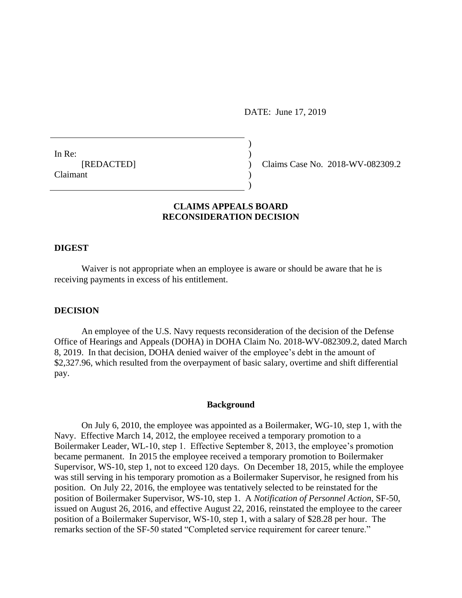DATE: June 17, 2019

In Re: [REDACTED] Claimant

Claims Case No. 2018-WV-082309.2

# **CLAIMS APPEALS BOARD RECONSIDERATION DECISION**

) )  $\lambda$ ) )

#### **DIGEST**

Waiver is not appropriate when an employee is aware or should be aware that he is receiving payments in excess of his entitlement.

## **DECISION**

An employee of the U.S. Navy requests reconsideration of the decision of the Defense Office of Hearings and Appeals (DOHA) in DOHA Claim No. 2018-WV-082309.2, dated March 8, 2019. In that decision, DOHA denied waiver of the employee's debt in the amount of \$2,327.96, which resulted from the overpayment of basic salary, overtime and shift differential pay.

## **Background**

On July 6, 2010, the employee was appointed as a Boilermaker, WG-10, step 1, with the Navy. Effective March 14, 2012, the employee received a temporary promotion to a Boilermaker Leader, WL-10, step 1. Effective September 8, 2013, the employee's promotion became permanent. In 2015 the employee received a temporary promotion to Boilermaker Supervisor, WS-10, step 1, not to exceed 120 days. On December 18, 2015, while the employee was still serving in his temporary promotion as a Boilermaker Supervisor, he resigned from his position. On July 22, 2016, the employee was tentatively selected to be reinstated for the position of Boilermaker Supervisor, WS-10, step 1. A *Notification of Personnel Action*, SF-50, issued on August 26, 2016, and effective August 22, 2016, reinstated the employee to the career position of a Boilermaker Supervisor, WS-10, step 1, with a salary of \$28.28 per hour. The remarks section of the SF-50 stated "Completed service requirement for career tenure."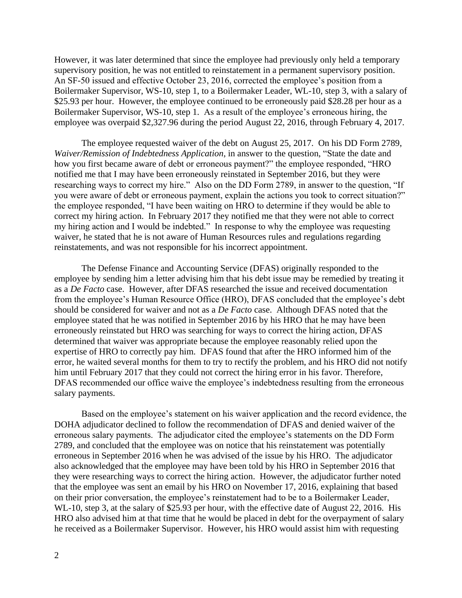However, it was later determined that since the employee had previously only held a temporary supervisory position, he was not entitled to reinstatement in a permanent supervisory position. An SF-50 issued and effective October 23, 2016, corrected the employee's position from a Boilermaker Supervisor, WS-10, step 1, to a Boilermaker Leader, WL-10, step 3, with a salary of \$25.93 per hour. However, the employee continued to be erroneously paid \$28.28 per hour as a Boilermaker Supervisor, WS-10, step 1. As a result of the employee's erroneous hiring, the employee was overpaid \$2,327.96 during the period August 22, 2016, through February 4, 2017.

The employee requested waiver of the debt on August 25, 2017. On his DD Form 2789, *Waiver/Remission of Indebtedness Application*, in answer to the question, "State the date and how you first became aware of debt or erroneous payment?" the employee responded, "HRO notified me that I may have been erroneously reinstated in September 2016, but they were researching ways to correct my hire." Also on the DD Form 2789, in answer to the question, "If you were aware of debt or erroneous payment, explain the actions you took to correct situation?" the employee responded, "I have been waiting on HRO to determine if they would be able to correct my hiring action. In February 2017 they notified me that they were not able to correct my hiring action and I would be indebted." In response to why the employee was requesting waiver, he stated that he is not aware of Human Resources rules and regulations regarding reinstatements, and was not responsible for his incorrect appointment.

The Defense Finance and Accounting Service (DFAS) originally responded to the employee by sending him a letter advising him that his debt issue may be remedied by treating it as a *De Facto* case. However, after DFAS researched the issue and received documentation from the employee's Human Resource Office (HRO), DFAS concluded that the employee's debt should be considered for waiver and not as a *De Facto* case. Although DFAS noted that the employee stated that he was notified in September 2016 by his HRO that he may have been erroneously reinstated but HRO was searching for ways to correct the hiring action, DFAS determined that waiver was appropriate because the employee reasonably relied upon the expertise of HRO to correctly pay him. DFAS found that after the HRO informed him of the error, he waited several months for them to try to rectify the problem, and his HRO did not notify him until February 2017 that they could not correct the hiring error in his favor. Therefore, DFAS recommended our office waive the employee's indebtedness resulting from the erroneous salary payments.

Based on the employee's statement on his waiver application and the record evidence, the DOHA adjudicator declined to follow the recommendation of DFAS and denied waiver of the erroneous salary payments. The adjudicator cited the employee's statements on the DD Form 2789, and concluded that the employee was on notice that his reinstatement was potentially erroneous in September 2016 when he was advised of the issue by his HRO. The adjudicator also acknowledged that the employee may have been told by his HRO in September 2016 that they were researching ways to correct the hiring action. However, the adjudicator further noted that the employee was sent an email by his HRO on November 17, 2016, explaining that based on their prior conversation, the employee's reinstatement had to be to a Boilermaker Leader, WL-10, step 3, at the salary of \$25.93 per hour, with the effective date of August 22, 2016. His HRO also advised him at that time that he would be placed in debt for the overpayment of salary he received as a Boilermaker Supervisor. However, his HRO would assist him with requesting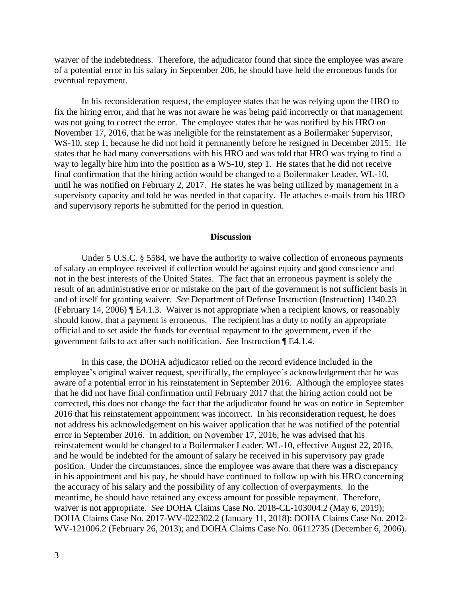waiver of the indebtedness. Therefore, the adjudicator found that since the employee was aware of a potential error in his salary in September 206, he should have held the erroneous funds for eventual repayment.

In his reconsideration request, the employee states that he was relying upon the HRO to fix the hiring error, and that he was not aware he was being paid incorrectly or that management was not going to correct the error. The employee states that he was notified by his HRO on November 17, 2016, that he was ineligible for the reinstatement as a Boilermaker Supervisor, WS-10, step 1, because he did not hold it permanently before he resigned in December 2015. He states that he had many conversations with his HRO and was told that HRO was trying to find a way to legally hire him into the position as a WS-10, step 1. He states that he did not receive final confirmation that the hiring action would be changed to a Boilermaker Leader, WL-10, until he was notified on February 2, 2017. He states he was being utilized by management in a supervisory capacity and told he was needed in that capacity. He attaches e-mails from his HRO and supervisory reports he submitted for the period in question.

#### **Discussion**

Under 5 U.S.C. § 5584, we have the authority to waive collection of erroneous payments of salary an employee received if collection would be against equity and good conscience and not in the best interests of the United States. The fact that an erroneous payment is solely the result of an administrative error or mistake on the part of the government is not sufficient basis in and of itself for granting waiver. *See* Department of Defense Instruction (Instruction) 1340.23 (February 14, 2006) ¶ E4.1.3. Waiver is not appropriate when a recipient knows, or reasonably should know, that a payment is erroneous. The recipient has a duty to notify an appropriate official and to set aside the funds for eventual repayment to the government, even if the government fails to act after such notification. *See* Instruction ¶ E4.1.4.

In this case, the DOHA adjudicator relied on the record evidence included in the employee's original waiver request, specifically, the employee's acknowledgement that he was aware of a potential error in his reinstatement in September 2016. Although the employee states that he did not have final confirmation until February 2017 that the hiring action could not be corrected, this does not change the fact that the adjudicator found he was on notice in September 2016 that his reinstatement appointment was incorrect. In his reconsideration request, he does not address his acknowledgement on his waiver application that he was notified of the potential error in September 2016. In addition, on November 17, 2016, he was advised that his reinstatement would be changed to a Boilermaker Leader, WL-10, effective August 22, 2016, and he would be indebted for the amount of salary he received in his supervisory pay grade position. Under the circumstances, since the employee was aware that there was a discrepancy in his appointment and his pay, he should have continued to follow up with his HRO concerning the accuracy of his salary and the possibility of any collection of overpayments. In the meantime, he should have retained any excess amount for possible repayment. Therefore, waiver is not appropriate. *See* DOHA Claims Case No. 2018-CL-103004.2 (May 6, 2019); DOHA Claims Case No. 2017-WV-022302.2 (January 11, 2018); DOHA Claims Case No. 2012- WV-121006.2 (February 26, 2013); and DOHA Claims Case No. 06112735 (December 6, 2006).